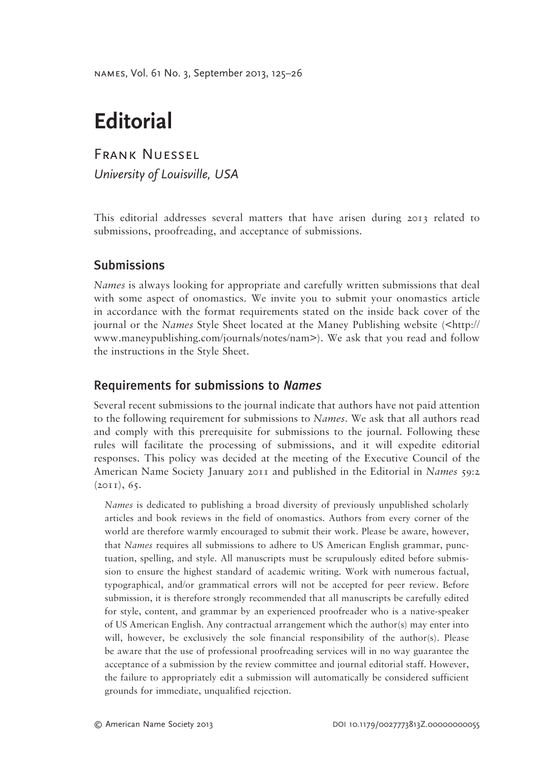names, Vol. 61 No. 3, September 2013, 125–26

# **Editorial**

Frank Nuessel*University of Louisville, USA*

This editorial addresses several matters that have arisen during 2013 related to submissions, proofreading, and acceptance of submissions.

## **Submissions**

*Names* is always looking for appropriate and carefully written submissions that deal with some aspect of onomastics. We invite you to submit your onomastics article in accordance with the format requirements stated on the inside back cover of the journal or the *Names* Style Sheet located at the Maney Publishing website (<http:// www.maneypublishing.com/journals/notes/nam>). We ask that you read and follow the instructions in the Style Sheet.

#### Requirements for submissions to *Names*

Several recent submissions to the journal indicate that authors have not paid attention to the following requirement for submissions to *Names*. We ask that all authors read and comply with this prerequisite for submissions to the journal. Following these rules will facilitate the processing of submissions, and it will expedite editorial responses. This policy was decided at the meeting of the Executive Council of the American Name Society January 2011 and published in the Editorial in *Names* 59:2 (2011), 65.

*Names* is dedicated to publishing a broad diversity of previously unpublished scholarly articles and book reviews in the field of onomastics. Authors from every corner of the world are therefore warmly encouraged to submit their work. Please be aware, however, that *Names* requires all submissions to adhere to US American English grammar, punctuation, spelling, and style. All manuscripts must be scrupulously edited before submission to ensure the highest standard of academic writing. Work with numerous factual, typographical, and/or grammatical errors will not be accepted for peer review. Before submission, it is therefore strongly recommended that all manuscripts be carefully edited for style, content, and grammar by an experienced proofreader who is a native-speaker of US American English. Any contractual arrangement which the author(s) may enter into will, however, be exclusively the sole financial responsibility of the author(s). Please be aware that the use of professional proofreading services will in no way guarantee the acceptance of a submission by the review committee and journal editorial staff. However, the failure to appropriately edit a submission will automatically be considered sufficient grounds for immediate, unqualified rejection.